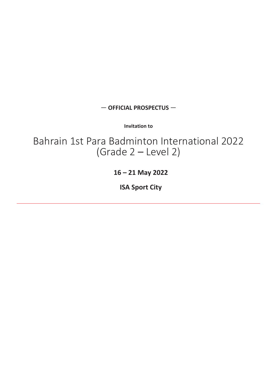#### — **OFFICIAL PROSPECTUS** —

**Invitation to**

Bahrain 1st Para Badminton International 2022 (Grade 2 – Level 2)

**16 – 21 May 2022**

**ISA Sport City**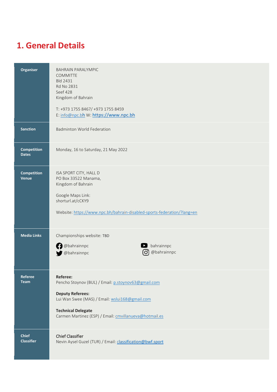## **1. General Details**

| Organiser                          | <b>BAHRAIN PARALYMPIC</b><br><b>COMMITTE</b><br><b>Bld 2431</b><br>Rd No 2831<br>Seef 428<br>Kingdom of Bahrain<br>T: +973 1755 8467/ +973 1755 8459<br>E: info@npc.bh W: https://www.npc.bh                                               |
|------------------------------------|--------------------------------------------------------------------------------------------------------------------------------------------------------------------------------------------------------------------------------------------|
| <b>Sanction</b>                    | <b>Badminton World Federation</b>                                                                                                                                                                                                          |
| <b>Competition</b><br><b>Dates</b> | Monday, 16 to Saturday, 21 May 2022                                                                                                                                                                                                        |
| <b>Competition</b><br>Venue        | ISA SPORT CITY, HALL D<br>PO Box 33522 Manama,<br>Kingdom of Bahrain<br>Google Maps Link:<br>shorturl.at/cCKY9<br>Website: https://www.npc.bh/bahrain-disabled-sports-federation/?lang=en                                                  |
| <b>Media Links</b>                 | Championships website: TBD<br><b>O</b> @bahrainnpc<br>$\blacktriangleright$ bahrainnpc<br>@bahrainnpc<br>@bahrainnpc                                                                                                                       |
| Referee<br><b>Team</b>             | <b>Referee:</b><br>Pencho Stoynov (BUL) / Email: p.stoynov63@gmail.com<br><b>Deputy Referees:</b><br>Lui Wan Swee (MAS) / Email: wslui168@gmail.com<br><b>Technical Delegate</b><br>Carmen Martinez (ESP) / Email: cmvillanueva@hotmail.es |
| <b>Chief</b><br><b>Classifier</b>  | <b>Chief Classifier</b><br>Nevin Aysel Guzel (TUR) / Email: classification@bwf.sport                                                                                                                                                       |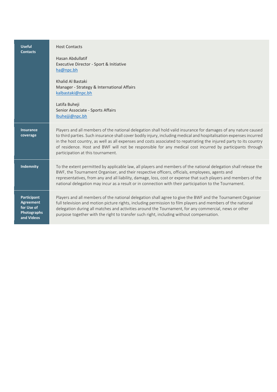| <b>Useful</b><br><b>Contacts</b>                                                  | <b>Host Contacts</b><br>Hasan Abdullatif<br>Executive Director - Sport & Initiative<br>ha@npc.bh<br>Khalid Al Bastaki<br>Manager - Strategy & International Affairs<br>kalbastaki@npc.bh<br>Latifa Buheji<br>Senior Associate - Sports Affairs<br>lbuhejji@npc.bh                                                                                                                                                                                                                                            |
|-----------------------------------------------------------------------------------|--------------------------------------------------------------------------------------------------------------------------------------------------------------------------------------------------------------------------------------------------------------------------------------------------------------------------------------------------------------------------------------------------------------------------------------------------------------------------------------------------------------|
| <b>Insurance</b><br>coverage                                                      | Players and all members of the national delegation shall hold valid insurance for damages of any nature caused<br>to third parties. Such insurance shall cover bodily injury, including medical and hospitalisation expenses incurred<br>in the host country, as well as all expenses and costs associated to repatriating the injured party to its country<br>of residence. Host and BWF will not be responsible for any medical cost incurred by participants through<br>participation at this tournament. |
| <b>Indemnity</b>                                                                  | To the extent permitted by applicable law, all players and members of the national delegation shall release the<br>BWF, the Tournament Organiser, and their respective officers, officials, employees, agents and<br>representatives, from any and all liability, damage, loss, cost or expense that such players and members of the<br>national delegation may incur as a result or in connection with their participation to the Tournament.                                                               |
| <b>Participant</b><br>Agreement<br>for Use of<br><b>Photographs</b><br>and Videos | Players and all members of the national delegation shall agree to give the BWF and the Tournament Organiser<br>full television and motion picture rights, including permission to film players and members of the national<br>delegation during all matches and activities around the Tournament, for any commercial, news or other<br>purpose together with the right to transfer such right, including without compensation.                                                                               |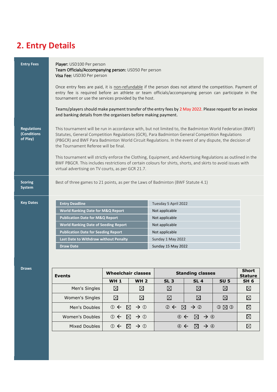# **2. Entry Details**

| <b>Entry Fees</b>                             | Player: USD100 Per person<br>Team Officials/Accompanying person: USD50 Per person<br>Visa Fee: USD30 Per person<br>Once entry fees are paid, it is non-refundable if the person does not attend the competition. Payment of<br>entry fee is required before an athlete or team officials/accompanying person can participate in the<br>tournament or use the services provided by the host.<br>Teams/players should make payment transfer of the entry fees by 2 May 2022. Please request for an invoice<br>and banking details from the organisers before making payment.                                                                            |                                                                                                                                         |  |  |
|-----------------------------------------------|-------------------------------------------------------------------------------------------------------------------------------------------------------------------------------------------------------------------------------------------------------------------------------------------------------------------------------------------------------------------------------------------------------------------------------------------------------------------------------------------------------------------------------------------------------------------------------------------------------------------------------------------------------|-----------------------------------------------------------------------------------------------------------------------------------------|--|--|
| <b>Regulations</b><br>(Conditions<br>of Play) | This tournament will be run in accordance with, but not limited to, the Badminton World Federation (BWF)<br>Statutes, General Competition Regulations (GCR), Para Badminton General Competition Regulations<br>(PBGCR) and BWF Para Badminton World Circuit Regulations. In the event of any dispute, the decision of<br>the Tournament Referee will be final.<br>This tournament will strictly enforce the Clothing, Equipment, and Advertising Regulations as outlined in the<br>BWF PBGCR. This includes restrictions of certain colours for shirts, shorts, and skirts to avoid issues with<br>virtual advertising on TV courts, as per GCR 21.7. |                                                                                                                                         |  |  |
| <b>Scoring</b><br><b>System</b>               | Best of three games to 21 points, as per the Laws of Badminton (BWF Statute 4.1)                                                                                                                                                                                                                                                                                                                                                                                                                                                                                                                                                                      |                                                                                                                                         |  |  |
| <b>Key Dates</b>                              | <b>Entry Deadline</b><br><b>World Ranking Date for M&amp;Q Report</b><br><b>Publication Date for M&amp;Q Report</b><br><b>World Ranking Date of Seeding Report</b><br><b>Publication Date for Seeding Report</b><br>Last Date to Withdraw without Penalty<br><b>Draw Date</b>                                                                                                                                                                                                                                                                                                                                                                         | Tuesday 5 April 2022<br>Not applicable<br>Not applicable<br>Not applicable<br>Not applicable<br>Sunday 1 May 2022<br>Sunday 15 May 2022 |  |  |

#### **Draws**

| <b>Events</b>   | <b>Wheelchair classes</b>                           |                      | <b>Standing classes</b>                                    |                 |             | <b>Short</b><br><b>Stature</b> |
|-----------------|-----------------------------------------------------|----------------------|------------------------------------------------------------|-----------------|-------------|--------------------------------|
|                 | <b>WH1</b>                                          | <b>WH 2</b>          | SL <sub>3</sub>                                            | <b>SL4</b>      | <b>SU 5</b> | SH <sub>6</sub>                |
| Men's Singles   | ⊠                                                   | $\bowtie$            | $\boxtimes$                                                | $\boxtimes$     | $\boxtimes$ | $\boxtimes$                    |
| Women's Singles | $\boxtimes$                                         | ⊠                    | ⊠                                                          | $\boxtimes$     | $\times$    | $\boxtimes$                    |
| Men's Doubles   | $0 \leftarrow \boxtimes \rightarrow 0$              |                      | $\oslash \leftarrow \boxtimes \rightarrow \oslash$         |                 | O(X)        | ⊠                              |
| Women's Doubles | $\boxtimes$ $\rightarrow$ 0<br>$\odot$ $\leftarrow$ |                      | $\boxtimes$ $\rightarrow$ 4<br>$\circledcirc$ $\leftarrow$ |                 |             |                                |
| Mixed Doubles   | $\oplus$                                            | $\rightarrow$ ①<br>M | (4)                                                        | $\rightarrow$ 4 |             |                                |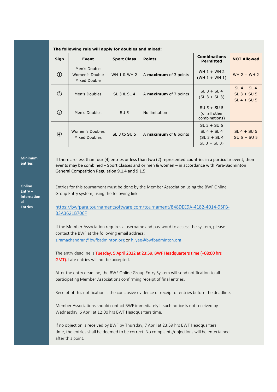|               | The following rule will apply for doubles and mixed: |                        |                              |                                                                    |                                                 |  |
|---------------|------------------------------------------------------|------------------------|------------------------------|--------------------------------------------------------------------|-------------------------------------------------|--|
| Sign          | Event                                                | <b>Sport Class</b>     | <b>Points</b>                | <b>Combinations</b><br><b>Permitted</b>                            | <b>NOT Allowed</b>                              |  |
| $\circled{1}$ | Men's Double<br>Women's Double<br>Mixed Double       | <b>WH 1 &amp; WH 2</b> | A maximum of 3 points        | WH $1 + WH$ 2<br>$(WH 1 + WH 1)$                                   | WH $2 + WH$ 2                                   |  |
| $\circled{2}$ | Men's Doubles                                        | SL 3 & SL 4            | A <b>maximum</b> of 7 points | $SL$ 3 + $SL$ 4<br>$(SL 3 + SL 3)$                                 | $SL 4 + SL 4$<br>$SL$ 3 + SU 5<br>$SL 4 + SU 5$ |  |
| $\circledS$   | Men's Doubles                                        | SU <sub>5</sub>        | No limitation                | $SU 5 + SU 5$<br>(or all other<br>combinations)                    |                                                 |  |
| $\circled{4}$ | Women's Doubles<br>Mixed Doubles                     | SL 3 to SU 5           | A <b>maximum</b> of 8 points | $SL$ 3 + SU 5<br>$SL 4 + SL 4$<br>$(SL 3 + SL 4)$<br>$SL_3 + SL_3$ | $SL 4 + SU 5$<br>$SU 5 + SU 5$                  |  |

#### **Minimum entries**

**Online Entry – Internation al Entries**

If there are less than four (4) entries or less than two (2) represented countries in a particular event, then events may be combined – Sport Classes and or men & women – in accordance with Para-Badminton General Competition Regulation 9.1.4 and 9.1.5

Entries for this tournament must be done by the Member Association using the BWF Online Group Entry system, using the following link:

[https://bwfpara.tournamentsoftware.com/tournament/848DEE9A-4182-4014-95FB-](https://bwfpara.tournamentsoftware.com/tournament/848DEE9A-4182-4014-95FB-B3A3621B706F)[B3A3621B706F](https://bwfpara.tournamentsoftware.com/tournament/848DEE9A-4182-4014-95FB-B3A3621B706F)

If the Member Association requires a username and password to access the system, please contact the BWF at the following email address: [s.ramachandran@bwfbadminton.org](mailto:s.ramachandran@bwfbadminton.org) o[r hj.yee@bwfbadminton.org](mailto:hj.yee@bwfbadminton.org)

The entry deadline is Tuesday, 5 April 2022 at 23:59, BWF Headquarters time (+08:00 hrs GMT). Late entries will not be accepted.

After the entry deadline, the BWF Online Group Entry System will send notification to all participating Member Associations confirming receipt of final entries.

Receipt of this notification is the conclusive evidence of receipt of entries before the deadline.

Member Associations should contact BWF immediately if such notice is not received by Wednesday, 6 April at 12:00 hrs BWF Headquarters time.

If no objection is received by BWF by Thursday, 7 April at 23:59 hrs BWF Headquarters time, the entries shall be deemed to be correct. No complaints/objections will be entertained after this point.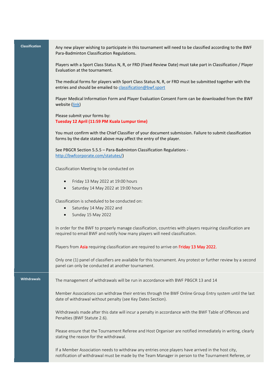**Classification** Any new player wishing to participate in this tournament will need to be classified according to the BWF Para-Badminton Classification Regulations.

> Players with a Sport Class Status N, R, or FRD (Fixed Review Date) must take part in Classification / Player Evaluation at the tournament.

The medical forms for players with Sport Class Status N, R, or FRD must be submitted together with the entries and should be emailed to [classification@bwf.sport](mailto:classification@bwf.sport)

Player Medical Information Form and Player Evaluation Consent Form can be downloaded from the BWF website [\(link\)](http://bwfcorporate.com/para-badminton/classification/)

Please submit your forms by: **Tuesday 12 April (11:59 PM Kuala Lumpur time)**

You must confirm with the Chief Classifier of your document submission. Failure to submit classification forms by the date stated above may affect the entry of the player.

See PBGCR Section 5.5.5 – Para-Badminton Classification Regulations [http://bwfcorporate.com/statutes/\)](http://bwfcorporate.com/statutes/)

Classification Meeting to be conducted on

- Friday 13 May 2022 at 19:00 hours
- Saturday 14 May 2022 at 19:00 hours

Classification is scheduled to be conducted on:

- Saturday 14 May 2022 and
- Sunday 15 May 2022

In order for the BWF to properly manage classification, countries with players requiring classification are required to email BWF and notify how many players will need classification.

Players from Asia requiring classification are required to arrive on Friday 13 May 2022.

Only one (1) panel of classifiers are available for this tournament. Any protest or further review by a second panel can only be conducted at another tournament.

**Withdrawals** The management of withdrawals will be run in accordance with BWF PBGCR 13 and 14

Member Associations can withdraw their entries through the BWF Online Group Entry system until the last date of withdrawal without penalty (see Key Dates Section).

Withdrawals made after this date will incur a penalty in accordance with the BWF Table of Offences and Penalties (BWF Statute 2.6).

Please ensure that the Tournament Referee and Host Organiser are notified immediately in writing, clearly stating the reason for the withdrawal.

If a Member Association needs to withdraw any entries once players have arrived in the host city, notification of withdrawal must be made by the Team Manager in person to the Tournament Referee, or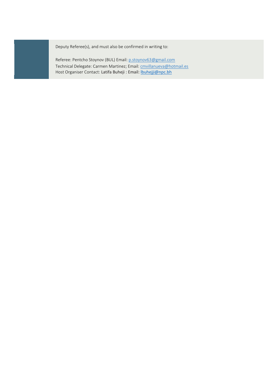Deputy Referee(s), and must also be confirmed in writing to:

Referee: Pentcho Stoynov (BUL) Email[: p.stoynov63@gmail.com](mailto:p.stoynov63@gmail.com) Technical Delegate: Carmen Martinez; Email[: cmvillanueva@hotmail.es](mailto:cmvillanueva@hotmail.es) Host Organiser Contact: Latifa Buheji : Email: *buhejji@npc.bh*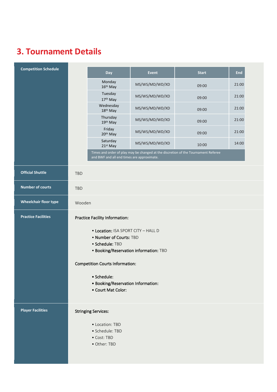# **3. Tournament Details**

| <b>Competition Schedule</b>  |                                | Day                                                       | <b>Event</b>   | <b>Start</b>                                                                       | End   |
|------------------------------|--------------------------------|-----------------------------------------------------------|----------------|------------------------------------------------------------------------------------|-------|
|                              |                                | Monday<br>16 <sup>th</sup> May                            | MS/WS/MD/WD/XD | 09:00                                                                              | 21:00 |
|                              |                                | Tuesday<br>17th May                                       | MS/WS/MD/WD/XD | 09:00                                                                              | 21:00 |
|                              |                                | Wednesday<br>18 <sup>th</sup> May                         | MS/WS/MD/WD/XD | 09:00                                                                              | 21:00 |
|                              |                                | Thursday<br>19th May                                      | MS/WS/MD/WD/XD | 09:00                                                                              | 21:00 |
|                              |                                | Friday<br>20 <sup>th</sup> May                            | MS/WS/MD/WD/XD | 09:00                                                                              | 21:00 |
|                              |                                | Saturday<br>21st May                                      | MS/WS/MD/WD/XD | 10:00                                                                              | 14:00 |
|                              |                                | and BWF and all end times are approximate.                |                | Times and order of play may be changed at the discretion of the Tournament Referee |       |
| <b>Official Shuttle</b>      | <b>TBD</b>                     |                                                           |                |                                                                                    |       |
| <b>Number of courts</b>      | <b>TBD</b>                     |                                                           |                |                                                                                    |       |
| <b>Wheelchair floor type</b> | Wooden                         |                                                           |                |                                                                                    |       |
| <b>Practice Facilities</b>   | Practice Facility Information: |                                                           |                |                                                                                    |       |
|                              |                                | • Location: ISA SPORT CITY - HALL D                       |                |                                                                                    |       |
|                              |                                | • Number of Courts: TBD                                   |                |                                                                                    |       |
|                              |                                | · Schedule: TBD<br>• Booking/Reservation information: TBD |                |                                                                                    |       |
|                              |                                |                                                           |                |                                                                                    |       |
|                              |                                | <b>Competition Courts Information:</b>                    |                |                                                                                    |       |
|                              |                                | • Schedule:                                               |                |                                                                                    |       |
|                              |                                | • Booking/Reservation Information:                        |                |                                                                                    |       |
|                              |                                | • Court Mat Color:                                        |                |                                                                                    |       |
| <b>Player Facilities</b>     |                                | <b>Stringing Services:</b>                                |                |                                                                                    |       |
|                              |                                | • Location: TBD                                           |                |                                                                                    |       |
|                              |                                | · Schedule: TBD                                           |                |                                                                                    |       |
|                              |                                | • Cost: TBD                                               |                |                                                                                    |       |
|                              |                                | • Other: TBD                                              |                |                                                                                    |       |
|                              |                                |                                                           |                |                                                                                    |       |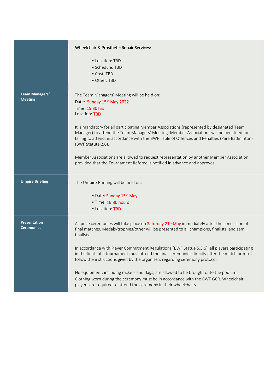|                                          | Wheelchair & Prosthetic Repair Services:                                                                                                                                                                                                                                                                                                                                                                                                                                                                                                                                                                                                                                                                                                                          |
|------------------------------------------|-------------------------------------------------------------------------------------------------------------------------------------------------------------------------------------------------------------------------------------------------------------------------------------------------------------------------------------------------------------------------------------------------------------------------------------------------------------------------------------------------------------------------------------------------------------------------------------------------------------------------------------------------------------------------------------------------------------------------------------------------------------------|
|                                          | • Location: TBD<br>· Schedule: TBD<br>• Cost: TBD<br>• Other: TBD                                                                                                                                                                                                                                                                                                                                                                                                                                                                                                                                                                                                                                                                                                 |
| Team Managers'<br><b>Meeting</b>         | The Team Managers' Meeting will be held on:<br>Date: Sunday 15th May 2022<br>Time: 15:30 hrs<br>Location: TBD<br>It is mandatory for all participating Member Associations (represented by designated Team<br>Manager) to attend the Team Managers' Meeting. Member Associations will be penalised for<br>failing to attend, in accordance with the BWF Table of Offences and Penalties (Para Badminton)<br>(BWF Statute 2.6).                                                                                                                                                                                                                                                                                                                                    |
|                                          | Member Associations are allowed to request representation by another Member Association,<br>provided that the Tournament Referee is notified in advance and approves.                                                                                                                                                                                                                                                                                                                                                                                                                                                                                                                                                                                             |
| <b>Umpire Briefing</b>                   | The Umpire Briefing will be held on:<br>• Date: Sunday 15th May<br>· Time: 16:30 hours<br>• Location: TBD                                                                                                                                                                                                                                                                                                                                                                                                                                                                                                                                                                                                                                                         |
| <b>Presentation</b><br><b>Ceremonies</b> | All prize ceremonies will take place on Saturday 21 <sup>st</sup> May immediately after the conclusion of<br>final matches. Medals/trophies/other will be presented to all champions, finalists, and semi<br>finalists<br>In accordance with Player Commitment Regulations (BWF Statue 5.3.6), all players participating<br>in the finals of a tournament must attend the final ceremonies directly after the match or must<br>follow the instructions given by the organisers regarding ceremony protocol.<br>No equipment, including rackets and flags, are allowed to be brought onto the podium.<br>Clothing worn during the ceremony must be in accordance with the BWF GCR. Wheelchair<br>players are required to attend the ceremony in their wheelchairs. |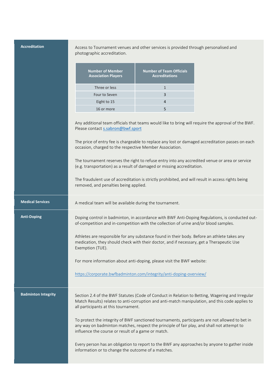| <b>Accreditation</b>       | Access to Tournament venues and other services is provided through personalised and<br>photographic accreditation.                                                                                                                                 |                                                          |                                                                                                                                                                                                        |
|----------------------------|----------------------------------------------------------------------------------------------------------------------------------------------------------------------------------------------------------------------------------------------------|----------------------------------------------------------|--------------------------------------------------------------------------------------------------------------------------------------------------------------------------------------------------------|
|                            | <b>Number of Member</b><br><b>Association Players</b>                                                                                                                                                                                              | <b>Number of Team Officials</b><br><b>Accreditations</b> |                                                                                                                                                                                                        |
|                            | Three or less                                                                                                                                                                                                                                      | $\mathbf{1}$                                             |                                                                                                                                                                                                        |
|                            | Four to Seven                                                                                                                                                                                                                                      | 3                                                        |                                                                                                                                                                                                        |
|                            | Eight to 15                                                                                                                                                                                                                                        | 4                                                        |                                                                                                                                                                                                        |
|                            | 16 or more                                                                                                                                                                                                                                         | 5                                                        |                                                                                                                                                                                                        |
|                            | Please contact s.sabron@bwf.sport                                                                                                                                                                                                                  |                                                          | Any additional team officials that teams would like to bring will require the approval of the BWF.<br>The price of entry fee is chargeable to replace any lost or damaged accreditation passes on each |
|                            | occasion, charged to the respective Member Association.                                                                                                                                                                                            |                                                          |                                                                                                                                                                                                        |
|                            | The tournament reserves the right to refuse entry into any accredited venue or area or service<br>(e.g. transportation) as a result of damaged or missing accreditation.                                                                           |                                                          |                                                                                                                                                                                                        |
|                            | The fraudulent use of accreditation is strictly prohibited, and will result in access rights being<br>removed, and penalties being applied.                                                                                                        |                                                          |                                                                                                                                                                                                        |
| <b>Medical Services</b>    | A medical team will be available during the tournament.                                                                                                                                                                                            |                                                          |                                                                                                                                                                                                        |
| <b>Anti-Doping</b>         | of-competition and in-competition with the collection of urine and/or blood samples.                                                                                                                                                               |                                                          | Doping control in badminton, in accordance with BWF Anti-Doping Regulations, is conducted out-                                                                                                         |
|                            | Athletes are responsible for any substance found in their body. Before an athlete takes any<br>medication, they should check with their doctor, and if necessary, get a Therapeutic Use<br>Exemption (TUE).                                        |                                                          |                                                                                                                                                                                                        |
|                            | For more information about anti-doping, please visit the BWF website:                                                                                                                                                                              |                                                          |                                                                                                                                                                                                        |
|                            | https://corporate.bwfbadminton.com/integrity/anti-doping-overview/                                                                                                                                                                                 |                                                          |                                                                                                                                                                                                        |
| <b>Badminton Integrity</b> | Section 2.4 of the BWF Statutes (Code of Conduct in Relation to Betting, Wagering and Irregular<br>Match Results) relates to anti-corruption and anti-match manipulation, and this code applies to<br>all participants at this tournament.         |                                                          |                                                                                                                                                                                                        |
|                            | To protect the integrity of BWF sanctioned tournaments, participants are not allowed to bet in<br>any way on badminton matches, respect the principle of fair play, and shall not attempt to<br>influence the course or result of a game or match. |                                                          |                                                                                                                                                                                                        |
|                            | Every person has an obligation to report to the BWF any approaches by anyone to gather inside<br>information or to change the outcome of a matches.                                                                                                |                                                          |                                                                                                                                                                                                        |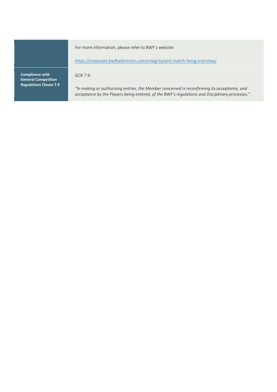|                                                      | For more information, please refer to BWF's website:                                                                                                                                          |
|------------------------------------------------------|-----------------------------------------------------------------------------------------------------------------------------------------------------------------------------------------------|
|                                                      | https://corporate.bwfbadminton.com/integrity/anti-match-fixing-overview/                                                                                                                      |
| <b>Compliance with</b><br><b>General Competition</b> | $GCR$ 7.9:                                                                                                                                                                                    |
| <b>Regulations Clause 7.9</b>                        | "In making or authorising entries, the Member concerned is reconfirming its acceptance, and<br>acceptance by the Players being entered, of the BWF's regulations and Disciplinary processes." |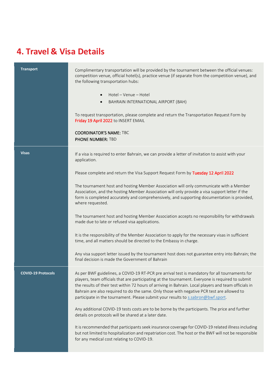## **4. Travel & Visa Details**

| <b>Transport</b>          | Complimentary transportation will be provided by the tournament between the official venues:<br>competition venue, official hotel(s), practice venue (if separate from the competition venue), and<br>the following transportation hubs:<br>Hotel - Venue - Hotel<br>$\bullet$<br>BAHRAIN INTERNATIONAL AIRPORT (BAH)<br>$\bullet$                                                                                                                                                            |
|---------------------------|-----------------------------------------------------------------------------------------------------------------------------------------------------------------------------------------------------------------------------------------------------------------------------------------------------------------------------------------------------------------------------------------------------------------------------------------------------------------------------------------------|
|                           | To request transportation, please complete and return the Transportation Request Form by<br>Friday 19 April 2022 to INSERT EMAIL<br><b>COORDINATOR'S NAME: TBC</b><br><b>PHONE NUMBER: TBD</b>                                                                                                                                                                                                                                                                                                |
| <b>Visas</b>              | If a visa is required to enter Bahrain, we can provide a letter of invitation to assist with your<br>application.                                                                                                                                                                                                                                                                                                                                                                             |
|                           | Please complete and return the Visa Support Request Form by Tuesday 12 April 2022                                                                                                                                                                                                                                                                                                                                                                                                             |
|                           | The tournament host and hosting Member Association will only communicate with a Member<br>Association, and the hosting Member Association will only provide a visa support letter if the<br>form is completed accurately and comprehensively, and supporting documentation is provided,<br>where requested.                                                                                                                                                                                   |
|                           | The tournament host and hosting Member Association accepts no responsibility for withdrawals<br>made due to late or refused visa applications.                                                                                                                                                                                                                                                                                                                                                |
|                           | It is the responsibility of the Member Association to apply for the necessary visas in sufficient<br>time, and all matters should be directed to the Embassy in charge.                                                                                                                                                                                                                                                                                                                       |
|                           | Any visa support letter issued by the tournament host does not guarantee entry into Bahrain; the<br>final decision is made the Government of Bahrain                                                                                                                                                                                                                                                                                                                                          |
| <b>COVID-19 Protocols</b> | As per BWF guidelines, a COVID-19 RT-PCR pre arrival test is mandatory for all tournaments for<br>players, team officials that are participating at the tournament. Everyone is required to submit<br>the results of their test within 72 hours of arriving in Bahrain. Local players and team officials in<br>Bahrain are also required to do the same. Only those with negative PCR test are allowed to<br>participate in the tournament. Please submit your results to s.sabron@bwf.sport. |
|                           | Any additional COVID-19 tests costs are to be borne by the participants. The price and further<br>details on protocols will be shared at a later date.                                                                                                                                                                                                                                                                                                                                        |
|                           | It is recommended that participants seek insurance coverage for COVID-19 related illness including<br>but not limited to hospitalization and repatriation cost. The host or the BWF will not be responsible<br>for any medical cost relating to COVID-19.                                                                                                                                                                                                                                     |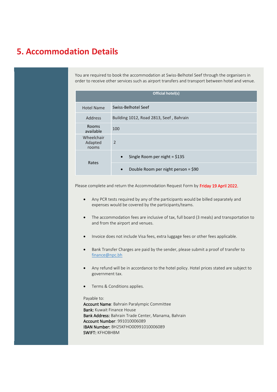#### **5. Accommodation Details**

You are required to book the accommodation at Swiss-Belhotel Seef through the organisers in order to receive other services such as airport transfers and transport between hotel and venue.

| Official hotel(s)              |                                                  |  |
|--------------------------------|--------------------------------------------------|--|
| <b>Hotel Name</b>              | Swiss-Belhotel Seef                              |  |
| Address                        | Building 1012, Road 2813, Seef, Bahrain          |  |
| <b>Rooms</b><br>available      | 100                                              |  |
| Wheelchair<br>Adapted<br>rooms | 2                                                |  |
| Rates                          | Single Room per night = $$135$<br>$\bullet$      |  |
|                                | Double Room per night person = \$90<br>$\bullet$ |  |

Please complete and return the Accommodation Request Form by Friday 19 April 2022.

- Any PCR tests required by any of the participants would be billed separately and expenses would be covered by the participants/teams.
- The accommodation fees are inclusive of tax, full board (3 meals) and transportation to and from the airport and venues.
- Invoice does not include Visa fees, extra luggage fees or other fees applicable.
- Bank Transfer Charges are paid by the sender, please submit a proof of transfer to [finance@npc.bh](mailto:finance@npc.bh)
- Any refund will be in accordance to the hotel policy. Hotel prices stated are subject to government tax.
- Terms & Conditions applies.

#### Payable to:

Account Name: Bahrain Paralympic Committee Bank: Kuwait Finance House Bank Address: Bahrain Trade Center, Manama, Bahrain Account Number: 991010006089 IBAN Number: BH25KFHO00991010006089 SWIFT: KFHOBHBM